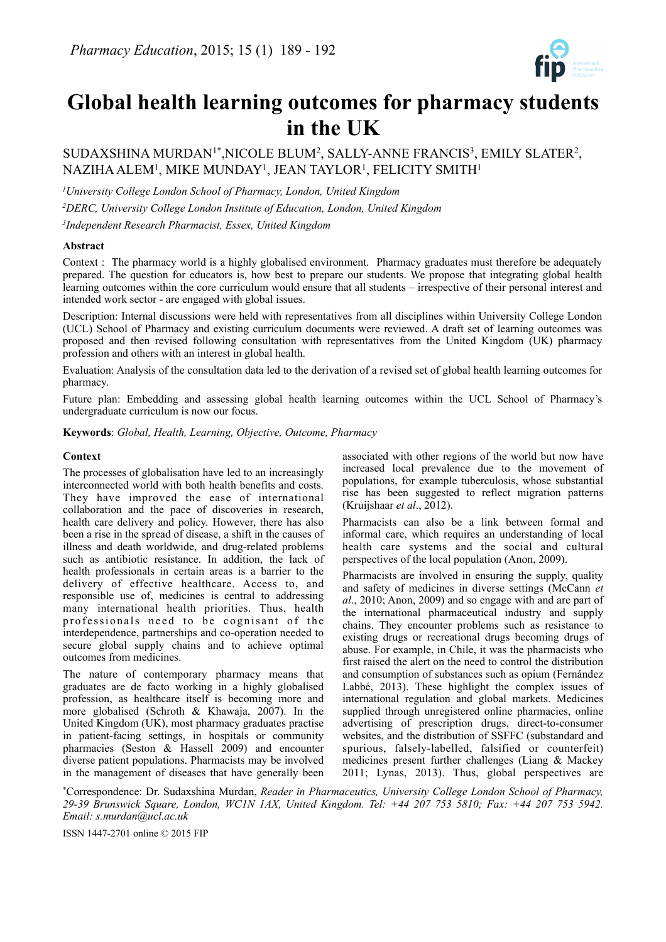

# **Global health learning outcomes for pharmacy students in the UK**

SUDAXSHINA MURDAN<sup>1\*</sup>, NICOLE BLUM<sup>2</sup>, SALLY-ANNE FRANCIS<sup>3</sup>, EMILY SLATER<sup>2</sup>, NAZIHA ALEM1, MIKE MUNDAY1, JEAN TAYLOR1, FELICITY SMITH1

*1University College London School of Pharmacy, London, United Kingdom*

*2DERC, University College London Institute of Education, London, United Kingdom 3Independent Research Pharmacist, Essex, United Kingdom*

# **Abstract**

Context : The pharmacy world is a highly globalised environment. Pharmacy graduates must therefore be adequately prepared. The question for educators is, how best to prepare our students. We propose that integrating global health learning outcomes within the core curriculum would ensure that all students – irrespective of their personal interest and intended work sector - are engaged with global issues.

Description: Internal discussions were held with representatives from all disciplines within University College London (UCL) School of Pharmacy and existing curriculum documents were reviewed. A draft set of learning outcomes was proposed and then revised following consultation with representatives from the United Kingdom (UK) pharmacy profession and others with an interest in global health.

Evaluation: Analysis of the consultation data led to the derivation of a revised set of global health learning outcomes for pharmacy.

Future plan: Embedding and assessing global health learning outcomes within the UCL School of Pharmacy's undergraduate curriculum is now our focus.

**Keywords**: *Global, Health, Learning, Objective, Outcome, Pharmacy*

## **Context**

The processes of globalisation have led to an increasingly interconnected world with both health benefits and costs. They have improved the ease of international collaboration and the pace of discoveries in research, health care delivery and policy. However, there has also been a rise in the spread of disease, a shift in the causes of illness and death worldwide, and drug-related problems such as antibiotic resistance. In addition, the lack of health professionals in certain areas is a barrier to the delivery of effective healthcare. Access to, and responsible use of, medicines is central to addressing many international health priorities. Thus, health professionals need to be cognisant of the interdependence, partnerships and co-operation needed to secure global supply chains and to achieve optimal outcomes from medicines.

The nature of contemporary pharmacy means that graduates are de facto working in a highly globalised profession, as healthcare itself is becoming more and more globalised (Schroth & Khawaja, 2007). In the United Kingdom (UK), most pharmacy graduates practise in patient-facing settings, in hospitals or community pharmacies (Seston & Hassell 2009) and encounter diverse patient populations. Pharmacists may be involved in the management of diseases that have generally been

associated with other regions of the world but now have increased local prevalence due to the movement of populations, for example tuberculosis, whose substantial rise has been suggested to reflect migration patterns (Kruijshaar *et al*., 2012).

Pharmacists can also be a link between formal and informal care, which requires an understanding of local health care systems and the social and cultural perspectives of the local population (Anon, 2009).

Pharmacists are involved in ensuring the supply, quality and safety of medicines in diverse settings (McCann *et al*., 2010; Anon, 2009) and so engage with and are part of the international pharmaceutical industry and supply chains. They encounter problems such as resistance to existing drugs or recreational drugs becoming drugs of abuse. For example, in Chile, it was the pharmacists who first raised the alert on the need to control the distribution and consumption of substances such as opium (Fernández Labbé, 2013). These highlight the complex issues of international regulation and global markets. Medicines supplied through unregistered online pharmacies, online advertising of prescription drugs, direct-to-consumer websites, and the distribution of SSFFC (substandard and spurious, falsely-labelled, falsified or counterfeit) medicines present further challenges (Liang & Mackey 2011; Lynas, 2013). Thus, global perspectives are

\*Correspondence: Dr. Sudaxshina Murdan, *Reader in Pharmaceutics, University College London School of Pharmacy, 29-39 Brunswick Square, London, WC1N 1AX, United Kingdom. Tel: +44 207 753 5810; Fax: +44 207 753 5942. Email: [s.murdan@ucl.ac.uk](mailto:s.murdan@ucl.ac.uk)*

ISSN 1447-2701 online © 2015 FIP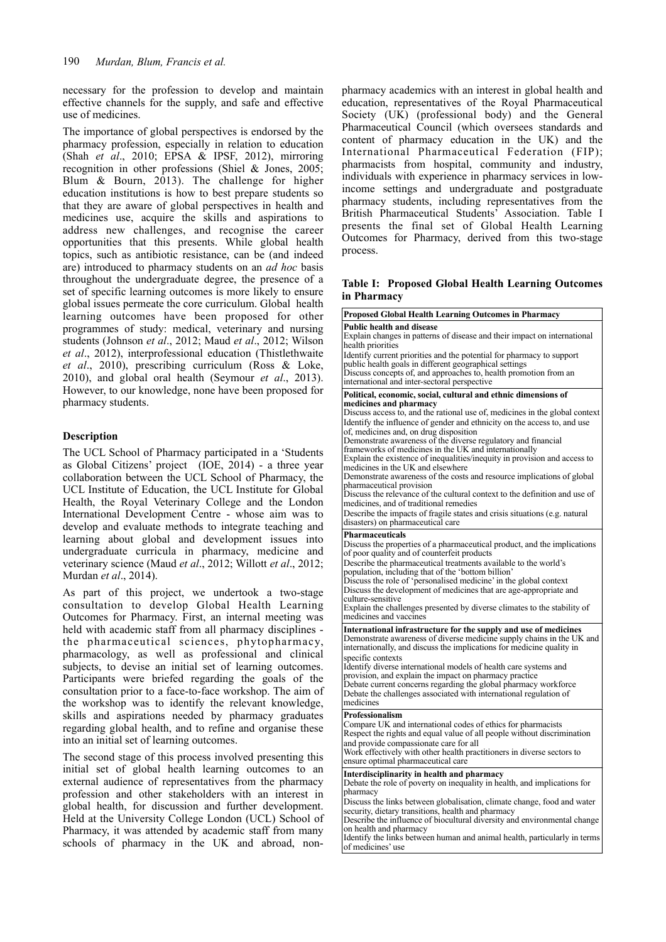necessary for the profession to develop and maintain effective channels for the supply, and safe and effective use of medicines.

The importance of global perspectives is endorsed by the pharmacy profession, especially in relation to education (Shah *et al*., 2010; EPSA & IPSF, 2012), mirroring recognition in other professions (Shiel & Jones, 2005; Blum & Bourn, 2013). The challenge for higher education institutions is how to best prepare students so that they are aware of global perspectives in health and medicines use, acquire the skills and aspirations to address new challenges, and recognise the career opportunities that this presents. While global health topics, such as antibiotic resistance, can be (and indeed are) introduced to pharmacy students on an *ad hoc* basis throughout the undergraduate degree, the presence of a set of specific learning outcomes is more likely to ensure global issues permeate the core curriculum. Global health learning outcomes have been proposed for other programmes of study: medical, veterinary and nursing students (Johnson *et al*., 2012; Maud *et al*., 2012; Wilson *et al*., 2012), interprofessional education (Thistlethwaite *et al*., 2010), prescribing curriculum (Ross & Loke, 2010), and global oral health (Seymour *et al*., 2013). However, to our knowledge, none have been proposed for pharmacy students.

# **Description**

The UCL School of Pharmacy participated in a 'Students as Global Citizens' project (IOE, 2014) - a three year collaboration between the UCL School of Pharmacy, the UCL Institute of Education, the UCL Institute for Global Health, the Royal Veterinary College and the London International Development Centre - whose aim was to develop and evaluate methods to integrate teaching and learning about global and development issues into undergraduate curricula in pharmacy, medicine and veterinary science (Maud *et al*., 2012; Willott *et al*., 2012; Murdan *et al*., 2014).

As part of this project, we undertook a two-stage consultation to develop Global Health Learning Outcomes for Pharmacy. First, an internal meeting was held with academic staff from all pharmacy disciplines the pharmaceutical sciences, phytopharmacy, pharmacology, as well as professional and clinical subjects, to devise an initial set of learning outcomes. Participants were briefed regarding the goals of the consultation prior to a face-to-face workshop. The aim of the workshop was to identify the relevant knowledge, skills and aspirations needed by pharmacy graduates regarding global health, and to refine and organise these into an initial set of learning outcomes.

The second stage of this process involved presenting this initial set of global health learning outcomes to an external audience of representatives from the pharmacy profession and other stakeholders with an interest in global health, for discussion and further development. Held at the University College London (UCL) School of Pharmacy, it was attended by academic staff from many schools of pharmacy in the UK and abroad, nonpharmacy academics with an interest in global health and education, representatives of the Royal Pharmaceutical Society (UK) (professional body) and the General Pharmaceutical Council (which oversees standards and content of pharmacy education in the UK) and the International Pharmaceutical Federation (FIP); pharmacists from hospital, community and industry, individuals with experience in pharmacy services in lowincome settings and undergraduate and postgraduate pharmacy students, including representatives from the British Pharmaceutical Students' Association. Table I presents the final set of Global Health Learning Outcomes for Pharmacy, derived from this two-stage process.

## **Table I: Proposed Global Health Learning Outcomes in Pharmacy**

| Proposed Global Health Learning Outcomes in Pharmacy                                                                                                                                                                                                                                                                 |
|----------------------------------------------------------------------------------------------------------------------------------------------------------------------------------------------------------------------------------------------------------------------------------------------------------------------|
| Public health and disease<br>Explain changes in patterns of disease and their impact on international<br>health priorities                                                                                                                                                                                           |
| Identify current priorities and the potential for pharmacy to support<br>public health goals in different geographical settings<br>Discuss concepts of, and approaches to, health promotion from an                                                                                                                  |
| international and inter-sectoral perspective                                                                                                                                                                                                                                                                         |
| Political, economic, social, cultural and ethnic dimensions of                                                                                                                                                                                                                                                       |
| medicines and pharmacy<br>Discuss access to, and the rational use of, medicines in the global context<br>Identify the influence of gender and ethnicity on the access to, and use<br>of, medicines and, on drug disposition                                                                                          |
| Demonstrate awareness of the diverse regulatory and financial<br>frameworks of medicines in the UK and internationally                                                                                                                                                                                               |
| Explain the existence of inequalities/inequity in provision and access to<br>medicines in the UK and elsewhere                                                                                                                                                                                                       |
| Demonstrate awareness of the costs and resource implications of global<br>pharmaceutical provision                                                                                                                                                                                                                   |
| Discuss the relevance of the cultural context to the definition and use of<br>medicines, and of traditional remedies                                                                                                                                                                                                 |
| Describe the impacts of fragile states and crisis situations (e.g. natural<br>disasters) on pharmaceutical care                                                                                                                                                                                                      |
| Pharmaceuticals                                                                                                                                                                                                                                                                                                      |
| Discuss the properties of a pharmaceutical product, and the implications<br>of poor quality and of counterfeit products                                                                                                                                                                                              |
| Describe the pharmaceutical treatments available to the world's<br>population, including that of the 'bottom billion'                                                                                                                                                                                                |
| Discuss the role of 'personalised medicine' in the global context<br>Discuss the development of medicines that are age-appropriate and                                                                                                                                                                               |
| culture-sensitive<br>Explain the challenges presented by diverse climates to the stability of<br>medicines and vaccines                                                                                                                                                                                              |
| International infrastructure for the supply and use of medicines<br>Demonstrate awareness of diverse medicine supply chains in the UK and<br>internationally, and discuss the implications for medicine quality in                                                                                                   |
| specific contexts<br>Identify diverse international models of health care systems and                                                                                                                                                                                                                                |
| provision, and explain the impact on pharmacy practice<br>Debate current concerns regarding the global pharmacy workforce<br>Debate the challenges associated with international regulation of<br>medicines                                                                                                          |
| Professionalism<br>Compare UK and international codes of ethics for pharmacists<br>Respect the rights and equal value of all people without discrimination<br>and provide compassionate care for all<br>Work effectively with other health practitioners in diverse sectors to<br>ensure optimal pharmaceutical care |
| Interdisciplinarity in health and pharmacy<br>Debate the role of poverty on inequality in health, and implications for<br>pharmacy                                                                                                                                                                                   |
| Discuss the links between globalisation, climate change, food and water<br>security, dietary transitions, health and pharmacy<br>Describe the influence of biocultural diversity and environmental change<br>on health and pharmacy                                                                                  |
| والمناوب المتوافق والمستقل والمستنق والمستنقص والمستنقص والمتواطن<br>اسنا بالمستشفين المقارن<br>. . 1.                                                                                                                                                                                                               |

Identify the links between human and animal health, particularly in terms of medicines' use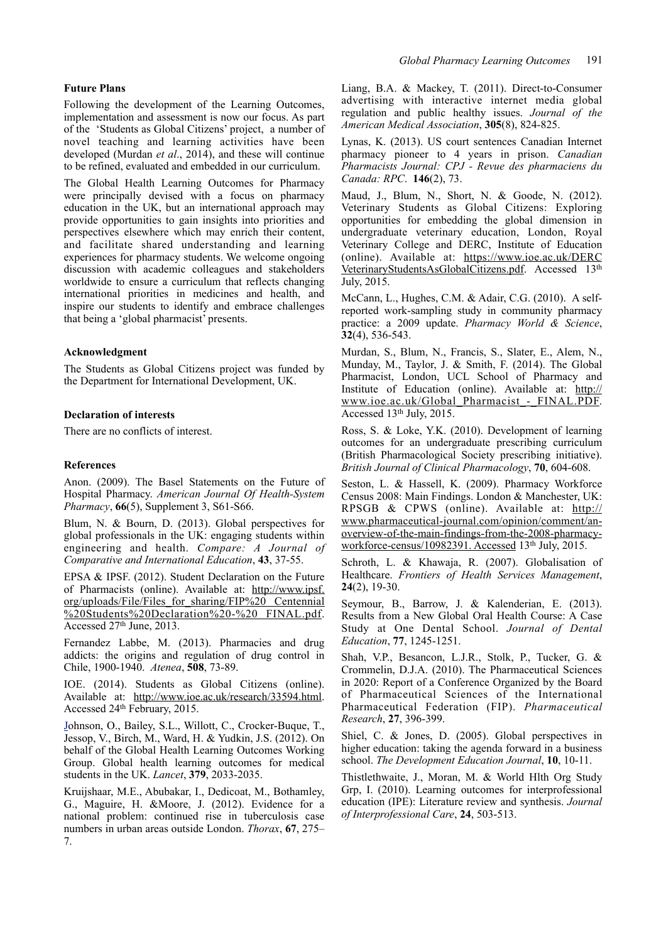#### **Future Plans**

Following the development of the Learning Outcomes, implementation and assessment is now our focus. As part of the 'Students as Global Citizens' project, a number of novel teaching and learning activities have been developed (Murdan *et al*., 2014), and these will continue to be refined, evaluated and embedded in our curriculum.

The Global Health Learning Outcomes for Pharmacy were principally devised with a focus on pharmacy education in the UK, but an international approach may provide opportunities to gain insights into priorities and perspectives elsewhere which may enrich their content, and facilitate shared understanding and learning experiences for pharmacy students. We welcome ongoing discussion with academic colleagues and stakeholders worldwide to ensure a curriculum that reflects changing international priorities in medicines and health, and inspire our students to identify and embrace challenges that being a 'global pharmacist' presents.

## **Acknowledgment**

The Students as Global Citizens project was funded by the Department for International Development, UK.

## **Declaration of interests**

There are no conflicts of interest.

#### **References**

Anon. (2009). The Basel Statements on the Future of Hospital Pharmacy. *American Journal Of Health-System Pharmacy*, **66**(5), Supplement 3, S61-S66.

Blum, N. & Bourn, D. (2013). Global perspectives for global professionals in the UK: engaging students within engineering and health. *Compare: A Journal of Comparative and International Education*, **43**, 37-55.

EPSA & IPSF. (2012). Student Declaration on the Future of Pharmacists (online). Available at: ht[tp://www.ipsf.](http://www.ipsf)  [or](http://www.ipsf)g/uploads/File/Files\_for\_sharing/FIP%20 Centennial %20Students%20Declaration%20-%20 FINAL.pdf. Accessed 27th June, 2013.

Fernandez Labbe, M. (2013). Pharmacies and drug addicts: the origins and regulation of drug control in Chile, 1900-1940. *Atenea*, **508**, 73-89.

IOE. (2014). Students as Global Citizens (online). Available at: ht[tp://www.ioe.ac.uk/research/33594.html.](http://www.ioe.ac.uk/research/33594.html) [Accessed 24th February, 2015.](http://www.ioe.ac.uk/research/33594.html)

[Jo](http://www.ioe.ac.uk/research/33594.html)hnson, O., Bailey, S.L., Willott, C., Crocker-Buque, T., Jessop, V., Birch, M., Ward, H. & Yudkin, J.S. (2012). On behalf of the Global Health Learning Outcomes Working Group. Global health learning outcomes for medical students in the UK. *Lancet*, **379**, 2033-2035.

Kruijshaar, M.E., Abubakar, I., Dedicoat, M., Bothamley, G., Maguire, H. &Moore, J. (2012). Evidence for a national problem: continued rise in tuberculosis case numbers in urban areas outside London. *Thorax*, **67**, 275– 7.

Liang, B.A. & Mackey, T. (2011). Direct-to-Consumer advertising with interactive internet media global regulation and public healthy issues. *Journal of the American Medical Association*, **305**(8), 824-825.

Lynas, K. (2013). US court sentences Canadian Internet pharmacy pioneer to 4 years in prison. *Canadian Pharmacists Journal: CPJ - Revue des pharmaciens du Canada: RPC*. **146**(2), 73.

Maud, J., Blum, N., Short, N. & Goode, N. (2012). Veterinary Students as Global Citizens: Exploring opportunities for embedding the global dimension in undergraduate veterinary education, London, Royal Veterinary College and DERC, Institute of Education (online). Available at: [https://www.ioe.ac.uk/DERC](https://www.ioe.ac.uk/DERCVeterinaryStudentsAsGlobalCitizens.pdf)  [VeterinaryStudentsAsGlobalCitizens.pdf.](https://www.ioe.ac.uk/DERCVeterinaryStudentsAsGlobalCitizens.pdf) Accessed 13th July, 2015.

McCann, L., Hughes, C.M. & Adair, C.G. (2010). A selfreported work-sampling study in community pharmacy practice: a 2009 update. *Pharmacy World & Science*, **32**(4), 536-543.

Murdan, S., Blum, N., Francis, S., Slater, E., Alem, N., Munday, M., Taylor, J. & Smith, F. (2014). The Global Pharmacist, London, UCL School of Pharmacy and Institute of Education (online). Available at: [http://](http://www.ioe.ac.uk/Global_Pharmacist_-_FINAL.PDF) [www.ioe.ac.uk/Global\\_Pharmacist\\_-\\_FINAL.PDF.](http://www.ioe.ac.uk/Global_Pharmacist_-_FINAL.PDF) Accessed 13th July, 2015.

Ross, S. & Loke, Y.K. (2010). Development of learning outcomes for an undergraduate prescribing curriculum (British Pharmacological Society prescribing initiative). *British Journal of Clinical Pharmacology*, **70**, 604-608.

Seston, L. & Hassell, K. (2009). Pharmacy Workforce Census 2008: Main Findings. London & Manchester, UK: RPSGB & CPWS (online). Available at: [http://](http://www.pharmaceutical-journal.com/opinion/comment/an-overview-of-the-main-findings-from-the-2008-pharmacy-workforce-census/10982391.accessed) [www.pharmaceutical-journal.com/opinion/comment/an](http://www.pharmaceutical-journal.com/opinion/comment/an-overview-of-the-main-findings-from-the-2008-pharmacy-workforce-census/10982391.accessed)[overview-of-the-main-findings-from-the-2008-pharmacy](http://www.pharmaceutical-journal.com/opinion/comment/an-overview-of-the-main-findings-from-the-2008-pharmacy-workforce-census/10982391.accessed)[workforce-census/10982391. Accessed](http://www.pharmaceutical-journal.com/opinion/comment/an-overview-of-the-main-findings-from-the-2008-pharmacy-workforce-census/10982391.accessed) 13th July, 2015.

Schroth, L. & Khawaja, R. (2007). Globalisation of Healthcare. *Frontiers of Health Services Management*, **24**(2), 19-30.

Seymour, B., Barrow, J. & Kalenderian, E. (2013). Results from a New Global Oral Health Course: A Case Study at One Dental School. *Journal of Dental Education*, **77**, 1245-1251.

Shah, V.P., Besancon, L.J.R., Stolk, P., Tucker, G. & Crommelin, D.J.A. (2010). The Pharmaceutical Sciences in 2020: Report of a Conference Organized by the Board of Pharmaceutical Sciences of the International Pharmaceutical Federation (FIP). *Pharmaceutical Research*, **27**, 396-399.

Shiel, C. & Jones, D. (2005). Global perspectives in higher education: taking the agenda forward in a business school. *The Development Education Journal*, **10**, 10-11.

Thistlethwaite, J., Moran, M. & World Hlth Org Study Grp, I. (2010). Learning outcomes for interprofessional education (IPE): Literature review and synthesis. *Journal of Interprofessional Care*, **24**, 503-513.